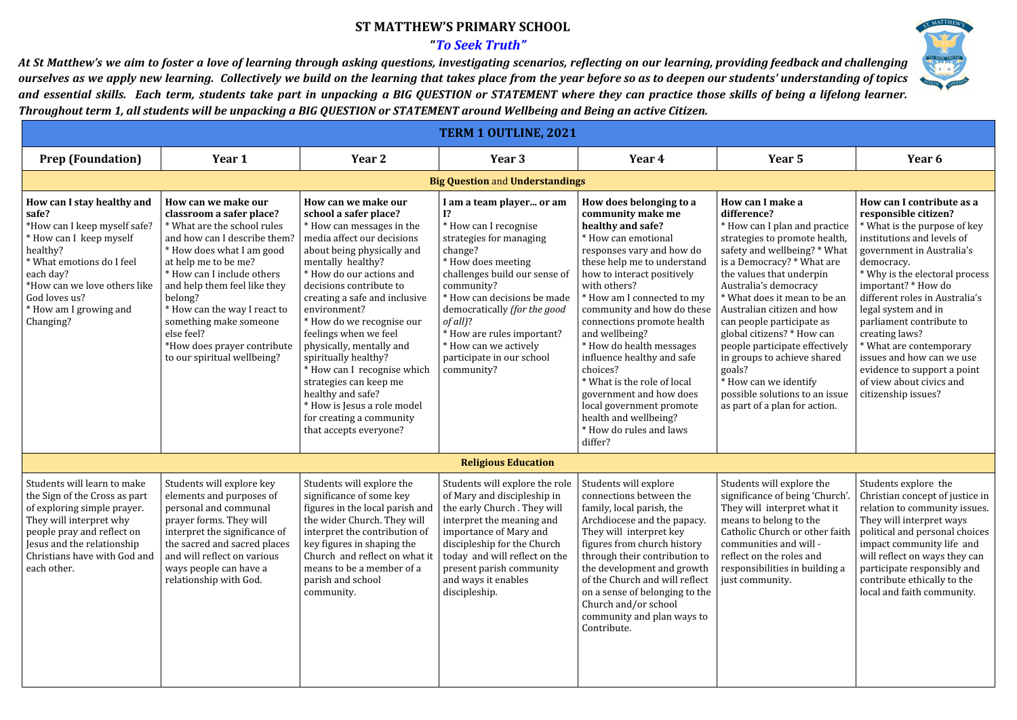## **ST MATTHEW'S PRIMARY SCHOOL**

## **"***To Seek Truth"*

At St Matthew's we aim to foster a love of learning through asking questions, investigating scenarios, reflecting on our learning, providing feedback and challenging ourselves as we apply new learning. Collectively we build on the learning that takes place from the year before so as to deepen our students' understanding of topics and essential skills. Each term, students take part in unpacking a BIG QUESTION or STATEMENT where they can practice those skills of being a lifelong learner. Throughout term 1, all students will be unpacking a BIG QUESTION or STATEMENT around Wellbeing and Being an active Citizen.

| <b>TERM 1 OUTLINE, 2021</b>                                                                                                                                                                                                                  |                                                                                                                                                                                                                                                                                                                                                                                    |                                                                                                                                                                                                                                                                                                                                                                                                                                                                                                                                                 |                                                                                                                                                                                                                                                                                                                                                   |                                                                                                                                                                                                                                                                                                                                                                                                                                                                                                                                         |                                                                                                                                                                                                                                                                                                                                                                                                                                                                                                                      |                                                                                                                                                                                                                                                                                                                                                                                                                                                                      |  |
|----------------------------------------------------------------------------------------------------------------------------------------------------------------------------------------------------------------------------------------------|------------------------------------------------------------------------------------------------------------------------------------------------------------------------------------------------------------------------------------------------------------------------------------------------------------------------------------------------------------------------------------|-------------------------------------------------------------------------------------------------------------------------------------------------------------------------------------------------------------------------------------------------------------------------------------------------------------------------------------------------------------------------------------------------------------------------------------------------------------------------------------------------------------------------------------------------|---------------------------------------------------------------------------------------------------------------------------------------------------------------------------------------------------------------------------------------------------------------------------------------------------------------------------------------------------|-----------------------------------------------------------------------------------------------------------------------------------------------------------------------------------------------------------------------------------------------------------------------------------------------------------------------------------------------------------------------------------------------------------------------------------------------------------------------------------------------------------------------------------------|----------------------------------------------------------------------------------------------------------------------------------------------------------------------------------------------------------------------------------------------------------------------------------------------------------------------------------------------------------------------------------------------------------------------------------------------------------------------------------------------------------------------|----------------------------------------------------------------------------------------------------------------------------------------------------------------------------------------------------------------------------------------------------------------------------------------------------------------------------------------------------------------------------------------------------------------------------------------------------------------------|--|
| <b>Prep (Foundation)</b>                                                                                                                                                                                                                     | Year 1                                                                                                                                                                                                                                                                                                                                                                             | Year 2                                                                                                                                                                                                                                                                                                                                                                                                                                                                                                                                          | Year 3                                                                                                                                                                                                                                                                                                                                            | Year 4                                                                                                                                                                                                                                                                                                                                                                                                                                                                                                                                  | Year 5                                                                                                                                                                                                                                                                                                                                                                                                                                                                                                               | Year 6                                                                                                                                                                                                                                                                                                                                                                                                                                                               |  |
| <b>Big Question and Understandings</b>                                                                                                                                                                                                       |                                                                                                                                                                                                                                                                                                                                                                                    |                                                                                                                                                                                                                                                                                                                                                                                                                                                                                                                                                 |                                                                                                                                                                                                                                                                                                                                                   |                                                                                                                                                                                                                                                                                                                                                                                                                                                                                                                                         |                                                                                                                                                                                                                                                                                                                                                                                                                                                                                                                      |                                                                                                                                                                                                                                                                                                                                                                                                                                                                      |  |
| How can I stay healthy and<br>safe?<br>*How can I keep myself safe?<br>* How can I keep myself<br>healthy?<br>* What emotions do I feel<br>each day?<br>*How can we love others like<br>God loves us?<br>* How am I growing and<br>Changing? | How can we make our<br>classroom a safer place?<br>* What are the school rules<br>and how can I describe them?<br>* How does what I am good<br>at help me to be me?<br>* How can I include others<br>and help them feel like they<br>belong?<br>* How can the way I react to<br>something make someone<br>else feel?<br>*How does prayer contribute<br>to our spiritual wellbeing? | How can we make our<br>school a safer place?<br>* How can messages in the<br>media affect our decisions<br>about being physically and<br>mentally healthy?<br>* How do our actions and<br>decisions contribute to<br>creating a safe and inclusive<br>environment?<br>* How do we recognise our<br>feelings when we feel<br>physically, mentally and<br>spiritually healthy?<br>* How can I recognise which<br>strategies can keep me<br>healthy and safe?<br>* How is Jesus a role model<br>for creating a community<br>that accepts everyone? | I am a team player or am<br>Ι?<br>* How can I recognise<br>strategies for managing<br>change?<br>* How does meeting<br>challenges build our sense of<br>community?<br>* How can decisions be made<br>democratically (for the good<br>$of all$ ?<br>* How are rules important?<br>* How can we actively<br>participate in our school<br>community? | How does belonging to a<br>community make me<br>healthy and safe?<br>* How can emotional<br>responses vary and how do<br>these help me to understand<br>how to interact positively<br>with others?<br>How am I connected to my<br>community and how do these<br>connections promote health<br>and wellbeing?<br>* How do health messages<br>influence healthy and safe<br>choices?<br>* What is the role of local<br>government and how does<br>local government promote<br>health and wellbeing?<br>* How do rules and laws<br>differ? | How can I make a<br>difference?<br>* How can I plan and practice<br>strategies to promote health,<br>safety and wellbeing? * What<br>is a Democracy? * What are<br>the values that underpin<br>Australia's democracy<br>* What does it mean to be an<br>Australian citizen and how<br>can people participate as<br>global citizens? * How can<br>people participate effectively<br>in groups to achieve shared<br>goals?<br>* How can we identify<br>possible solutions to an issue<br>as part of a plan for action. | How can I contribute as a<br>responsible citizen?<br>* What is the purpose of key<br>institutions and levels of<br>government in Australia's<br>democracy.<br>* Why is the electoral process<br>important? * How do<br>different roles in Australia's<br>legal system and in<br>parliament contribute to<br>creating laws?<br>* What are contemporary<br>issues and how can we use<br>evidence to support a point<br>of view about civics and<br>citizenship issues? |  |
|                                                                                                                                                                                                                                              |                                                                                                                                                                                                                                                                                                                                                                                    |                                                                                                                                                                                                                                                                                                                                                                                                                                                                                                                                                 | <b>Religious Education</b>                                                                                                                                                                                                                                                                                                                        |                                                                                                                                                                                                                                                                                                                                                                                                                                                                                                                                         |                                                                                                                                                                                                                                                                                                                                                                                                                                                                                                                      |                                                                                                                                                                                                                                                                                                                                                                                                                                                                      |  |
| Students will learn to make<br>the Sign of the Cross as part<br>of exploring simple prayer.<br>They will interpret why<br>people pray and reflect on<br>Jesus and the relationship<br>Christians have with God and<br>each other.            | Students will explore key<br>elements and purposes of<br>personal and communal<br>prayer forms. They will<br>interpret the significance of<br>the sacred and sacred places<br>and will reflect on various<br>ways people can have a<br>relationship with God.                                                                                                                      | Students will explore the<br>significance of some key<br>figures in the local parish and<br>the wider Church. They will<br>interpret the contribution of<br>key figures in shaping the<br>Church and reflect on what it<br>means to be a member of a<br>parish and school<br>community.                                                                                                                                                                                                                                                         | Students will explore the role<br>of Mary and discipleship in<br>the early Church. They will<br>interpret the meaning and<br>importance of Mary and<br>discipleship for the Church<br>today and will reflect on the<br>present parish community<br>and ways it enables<br>discipleship.                                                           | Students will explore<br>connections between the<br>family, local parish, the<br>Archdiocese and the papacy.<br>They will interpret key<br>figures from church history<br>through their contribution to<br>the development and growth<br>of the Church and will reflect<br>on a sense of belonging to the<br>Church and/or school<br>community and plan ways to<br>Contribute.                                                                                                                                                          | Students will explore the<br>significance of being 'Church'.<br>They will interpret what it<br>means to belong to the<br>Catholic Church or other faith<br>communities and will -<br>reflect on the roles and<br>responsibilities in building a<br>just community.                                                                                                                                                                                                                                                   | Students explore the<br>Christian concept of justice in  <br>relation to community issues.<br>They will interpret ways<br>political and personal choices<br>impact community life and<br>will reflect on ways they can<br>participate responsibly and<br>contribute ethically to the<br>local and faith community.                                                                                                                                                   |  |

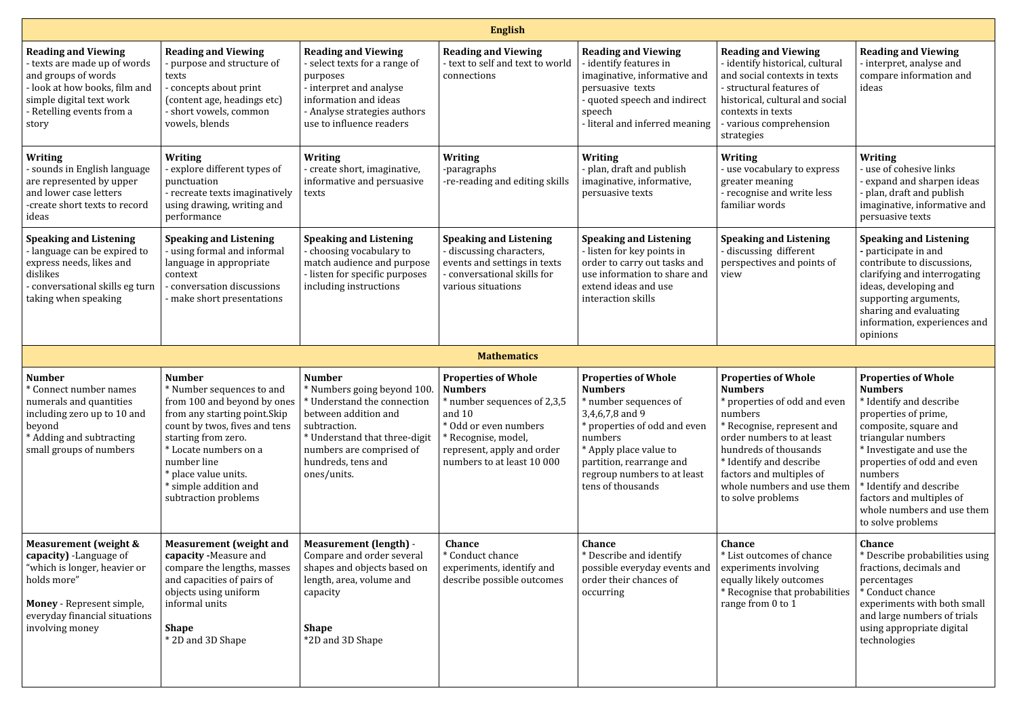| <b>English</b>                                                                                                                                                                         |                                                                                                                                                                                                                                                      |                                                                                                                                                                                                                                                      |                                                                                                                                                                                                     |                                                                                                                                                                                                                                               |                                                                                                                                                                                                                                                                                       |                                                                                                                                                                                                                                                                                                                                |  |
|----------------------------------------------------------------------------------------------------------------------------------------------------------------------------------------|------------------------------------------------------------------------------------------------------------------------------------------------------------------------------------------------------------------------------------------------------|------------------------------------------------------------------------------------------------------------------------------------------------------------------------------------------------------------------------------------------------------|-----------------------------------------------------------------------------------------------------------------------------------------------------------------------------------------------------|-----------------------------------------------------------------------------------------------------------------------------------------------------------------------------------------------------------------------------------------------|---------------------------------------------------------------------------------------------------------------------------------------------------------------------------------------------------------------------------------------------------------------------------------------|--------------------------------------------------------------------------------------------------------------------------------------------------------------------------------------------------------------------------------------------------------------------------------------------------------------------------------|--|
| <b>Reading and Viewing</b><br>texts are made up of words<br>and groups of words<br>look at how books, film and<br>simple digital text work<br>Retelling events from a<br>story         | <b>Reading and Viewing</b><br>- purpose and structure of<br>texts<br>- concepts about print<br>(content age, headings etc)<br>- short vowels, common<br>vowels, blends                                                                               | <b>Reading and Viewing</b><br>select texts for a range of<br>purposes<br>- interpret and analyse<br>information and ideas<br>- Analyse strategies authors<br>use to influence readers                                                                | <b>Reading and Viewing</b><br>text to self and text to world<br>connections                                                                                                                         | <b>Reading and Viewing</b><br>identify features in<br>imaginative, informative and<br>persuasive texts<br>- quoted speech and indirect<br>speech<br>-literal and inferred meaning                                                             | <b>Reading and Viewing</b><br>- identify historical, cultural<br>and social contexts in texts<br>- structural features of<br>historical, cultural and social<br>contexts in texts<br>- various comprehension<br>strategies                                                            | <b>Reading and Viewing</b><br>interpret, analyse and<br>compare information and<br>ideas                                                                                                                                                                                                                                       |  |
| <b>Writing</b><br>sounds in English language<br>are represented by upper<br>and lower case letters<br>-create short texts to record<br>ideas                                           | <b>Writing</b><br>- explore different types of<br>punctuation<br>- recreate texts imaginatively<br>using drawing, writing and<br>performance                                                                                                         | <b>Writing</b><br>- create short, imaginative,<br>informative and persuasive<br>texts                                                                                                                                                                | <b>Writing</b><br>-paragraphs<br>-re-reading and editing skills                                                                                                                                     | <b>Writing</b><br>plan, draft and publish<br>imaginative, informative,<br>persuasive texts                                                                                                                                                    | <b>Writing</b><br>- use vocabulary to express<br>greater meaning<br>- recognise and write less<br>familiar words                                                                                                                                                                      | Writing<br>use of cohesive links<br>expand and sharpen ideas<br>plan, draft and publish<br>imaginative, informative and<br>persuasive texts                                                                                                                                                                                    |  |
| <b>Speaking and Listening</b><br>language can be expired to<br>express needs, likes and<br>dislikes<br>conversational skills eg turn<br>taking when speaking                           | <b>Speaking and Listening</b><br>using formal and informal<br>language in appropriate<br>context<br>conversation discussions<br>make short presentations                                                                                             | <b>Speaking and Listening</b><br>- choosing vocabulary to<br>match audience and purpose<br>- listen for specific purposes<br>including instructions                                                                                                  | <b>Speaking and Listening</b><br>- discussing characters,<br>events and settings in texts<br>conversational skills for<br>various situations                                                        | <b>Speaking and Listening</b><br>listen for key points in<br>order to carry out tasks and<br>use information to share and<br>extend ideas and use<br>interaction skills                                                                       | <b>Speaking and Listening</b><br>- discussing different<br>perspectives and points of<br>view                                                                                                                                                                                         | <b>Speaking and Listening</b><br>participate in and<br>contribute to discussions,<br>clarifying and interrogating<br>ideas, developing and<br>supporting arguments,<br>sharing and evaluating<br>information, experiences and<br>opinions                                                                                      |  |
|                                                                                                                                                                                        |                                                                                                                                                                                                                                                      |                                                                                                                                                                                                                                                      | <b>Mathematics</b>                                                                                                                                                                                  |                                                                                                                                                                                                                                               |                                                                                                                                                                                                                                                                                       |                                                                                                                                                                                                                                                                                                                                |  |
| <b>Number</b><br>Connect number names<br>numerals and quantities<br>including zero up to 10 and<br>beyond<br>* Adding and subtracting<br>small groups of numbers                       | <b>Number</b><br>* Number sequences to and<br>from any starting point. Skip<br>count by twos, fives and tens<br>starting from zero.<br>* Locate numbers on a<br>number line<br>* place value units.<br>* simple addition and<br>subtraction problems | <b>Number</b><br>* Numbers going beyond 100.<br>from 100 and beyond by ones $ *$ Understand the connection<br>between addition and<br>subtraction.<br>* Understand that three-digit<br>numbers are comprised of<br>hundreds, tens and<br>ones/units. | <b>Properties of Whole</b><br><b>Numbers</b><br>* number sequences of 2,3,5<br>and $10$<br>* Odd or even numbers<br>* Recognise, model,<br>represent, apply and order<br>numbers to at least 10 000 | <b>Properties of Whole</b><br><b>Numbers</b><br>* number sequences of<br>3,4,6,7,8 and 9<br>* properties of odd and even<br>numbers<br>* Apply place value to<br>partition, rearrange and<br>regroup numbers to at least<br>tens of thousands | <b>Properties of Whole</b><br><b>Numbers</b><br>* properties of odd and even<br>numbers<br>* Recognise, represent and<br>order numbers to at least<br>hundreds of thousands<br>* Identify and describe<br>factors and multiples of<br>whole numbers and use them<br>to solve problems | <b>Properties of Whole</b><br><b>Numbers</b><br>* Identify and describe<br>properties of prime,<br>composite, square and<br>triangular numbers<br>* Investigate and use the<br>properties of odd and even<br>numbers<br>* Identify and describe<br>factors and multiples of<br>whole numbers and use them<br>to solve problems |  |
| Measurement (weight &<br>capacity) -Language of<br>'which is longer, heavier or<br>holds more"<br><b>Money</b> - Represent simple,<br>everyday financial situations<br>involving money | <b>Measurement</b> (weight and<br>capacity -Measure and<br>compare the lengths, masses<br>and capacities of pairs of<br>objects using uniform<br>informal units<br><b>Shape</b><br>* 2D and 3D Shape                                                 | <b>Measurement (length) -</b><br>Compare and order several<br>shapes and objects based on<br>length, area, volume and<br>capacity<br><b>Shape</b><br>*2D and 3D Shape                                                                                | <b>Chance</b><br><sup>*</sup> Conduct chance<br>experiments, identify and<br>describe possible outcomes                                                                                             | <b>Chance</b><br>* Describe and identify<br>possible everyday events and<br>order their chances of<br>occurring                                                                                                                               | <b>Chance</b><br>* List outcomes of chance<br>experiments involving<br>equally likely outcomes<br>* Recognise that probabilities<br>range from 0 to 1                                                                                                                                 | <b>Chance</b><br>* Describe probabilities using<br>fractions, decimals and<br>percentages<br>* Conduct chance<br>experiments with both small<br>and large numbers of trials<br>using appropriate digital<br>technologies                                                                                                       |  |